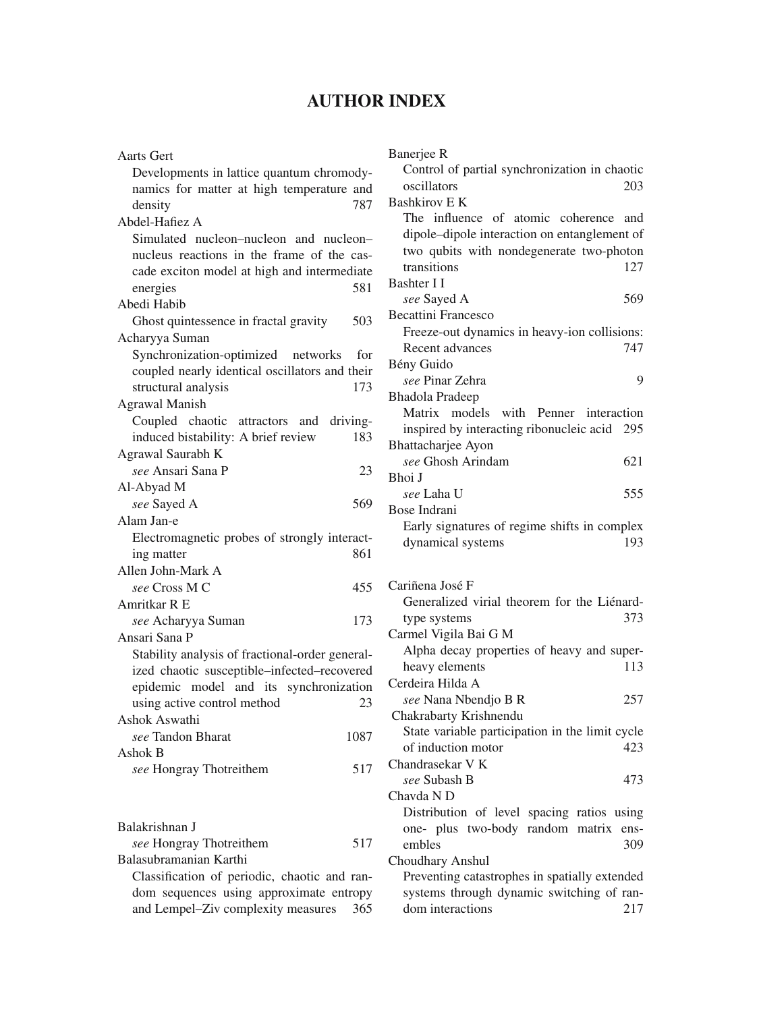## **AUTHOR INDEX**

| <b>Aarts Gert</b>                               |      |
|-------------------------------------------------|------|
| Developments in lattice quantum chromody-       |      |
| namics for matter at high temperature and       |      |
| density                                         | 787  |
| Abdel-Hafiez A                                  |      |
| Simulated nucleon-nucleon and nucleon-          |      |
| nucleus reactions in the frame of the cas-      |      |
| cade exciton model at high and intermediate     |      |
| energies                                        | 581  |
| Abedi Habib                                     |      |
| Ghost quintessence in fractal gravity           | 503  |
| Acharyya Suman                                  |      |
| Synchronization-optimized networks for          |      |
| coupled nearly identical oscillators and their  |      |
| structural analysis                             | 173  |
| <b>Agrawal Manish</b>                           |      |
| Coupled chaotic attractors and driving-         |      |
| induced bistability: A brief review             | 183  |
| Agrawal Saurabh K                               |      |
| see Ansari Sana P                               | 23   |
| Al-Abyad M                                      |      |
| see Sayed A                                     | 569  |
| Alam Jan-e                                      |      |
| Electromagnetic probes of strongly interact-    |      |
| ing matter                                      | 861  |
| Allen John-Mark A                               |      |
| see Cross M C                                   | 455  |
| Amritkar R E                                    |      |
| see Acharyya Suman                              | 173  |
| Ansari Sana P                                   |      |
| Stability analysis of fractional-order general- |      |
| ized chaotic susceptible-infected-recovered     |      |
| epidemic model and its synchronization          |      |
| using active control method                     | 23   |
| Ashok Aswathi                                   |      |
| see Tandon Bharat                               | 1087 |
| Ashok B                                         |      |
| see Hongray Thotreithem                         | 517  |
|                                                 |      |
|                                                 |      |
| Balakrishnan J                                  |      |
| see Hongray Thotreithem                         | 517  |
| Balasubramanian Karthi                          |      |
| $\sim$ 11. $\sim$<br>$\sim$ $\sim$ $\sim$       |      |

Classification of periodic, chaotic and random sequences using approximate entropy and Lempel–Ziv complexity measures 365

| Banerjee R                                                    |      |
|---------------------------------------------------------------|------|
| Control of partial synchronization in chaotic                 |      |
| oscillators                                                   | 203  |
| <b>Bashkirov E K</b>                                          |      |
| The influence of atomic coherence and                         |      |
| dipole-dipole interaction on entanglement of                  |      |
| two qubits with nondegenerate two-photon                      |      |
| transitions                                                   | 127  |
| Bashter I I                                                   |      |
| see Sayed A                                                   | 569  |
| <b>Becattini Francesco</b>                                    |      |
| Freeze-out dynamics in heavy-ion collisions:                  |      |
| Recent advances                                               | 747  |
| Bény Guido                                                    |      |
| see Pinar Zehra                                               | 9    |
| <b>Bhadola Pradeep</b>                                        |      |
| Matrix models<br>with Penner interaction                      |      |
| inspired by interacting ribonucleic acid 295                  |      |
| Bhattacharjee Ayon                                            |      |
| see Ghosh Arindam                                             | 621  |
| Bhoi J                                                        |      |
| see Laha U                                                    | 555  |
| Bose Indrani                                                  |      |
| Early signatures of regime shifts in complex                  |      |
| dynamical systems                                             | 193  |
|                                                               |      |
|                                                               |      |
|                                                               |      |
| Cariñena José F                                               |      |
| Generalized virial theorem for the Liénard-                   |      |
| type systems                                                  | 373  |
| Carmel Vigila Bai G M                                         |      |
| Alpha decay properties of heavy and super-                    |      |
| heavy elements                                                | 113  |
| Cerdeira Hilda A                                              |      |
| see Nana Nbendjo B R                                          | 257  |
| Chakrabarty Krishnendu                                        |      |
| State variable participation in the limit cycle               |      |
| of induction motor                                            | 423  |
| Chandrasekar V K                                              |      |
| see Subash B                                                  | 473  |
| Chavda ND                                                     |      |
| Distribution of level spacing ratios using                    |      |
| one- plus two-body random matrix                              | ens- |
| embles                                                        | 309  |
| Choudhary Anshul                                              |      |
| Preventing catastrophes in spatially extended                 |      |
| systems through dynamic switching of ran-<br>dom interactions | 217  |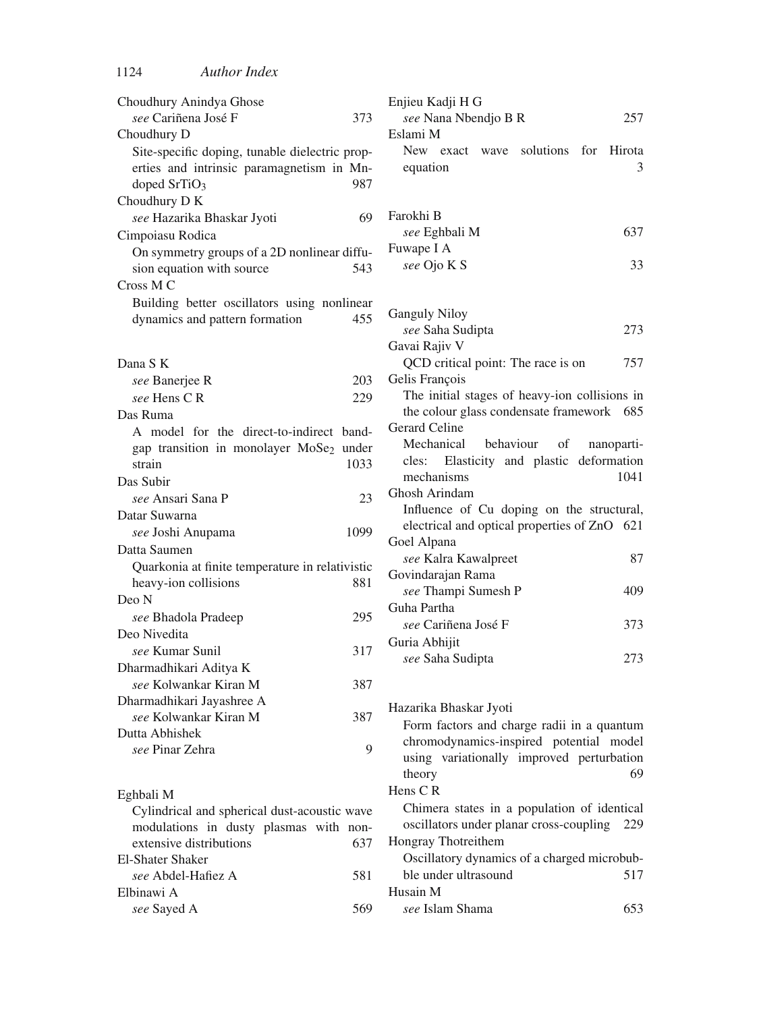| Choudhury Anindya Ghose                                   | Enjieu Kadji H G                                           |
|-----------------------------------------------------------|------------------------------------------------------------|
| see Cariñena José F<br>373                                | see Nana Nbendjo B R<br>257                                |
| Choudhury D                                               | Eslami M                                                   |
| Site-specific doping, tunable dielectric prop-            | solutions<br>for<br>New exact wave<br>Hirota               |
| erties and intrinsic paramagnetism in Mn-                 | 3<br>equation                                              |
| doped SrTiO <sub>3</sub><br>987                           |                                                            |
| Choudhury D K                                             |                                                            |
| see Hazarika Bhaskar Jyoti<br>69                          | Farokhi B                                                  |
| Cimpoiasu Rodica                                          | see Eghbali M<br>637                                       |
| On symmetry groups of a 2D nonlinear diffu-               | Fuwape I A                                                 |
| sion equation with source<br>543                          | see Ojo K S<br>33                                          |
| Cross M C                                                 |                                                            |
| Building better oscillators using nonlinear               |                                                            |
| dynamics and pattern formation<br>455                     | <b>Ganguly Niloy</b>                                       |
|                                                           | 273<br>see Saha Sudipta                                    |
|                                                           | Gavai Rajiv V                                              |
| Dana S K                                                  | QCD critical point: The race is on<br>757                  |
| see Banerjee R<br>203                                     | Gelis François                                             |
| see Hens C R<br>229                                       | The initial stages of heavy-ion collisions in              |
| Das Ruma                                                  | the colour glass condensate framework 685<br>Gerard Celine |
| A model for the direct-to-indirect band-                  | Mechanical<br>behaviour<br>οf<br>nanoparti-                |
| gap transition in monolayer MoSe2 under                   | Elasticity and plastic deformation<br>cles:                |
| strain<br>1033                                            | mechanisms<br>1041                                         |
| Das Subir                                                 | Ghosh Arindam                                              |
| see Ansari Sana P<br>23                                   | Influence of Cu doping on the structural,                  |
| Datar Suwarna                                             | electrical and optical properties of ZnO 621               |
| see Joshi Anupama<br>1099                                 | Goel Alpana                                                |
| Datta Saumen                                              | see Kalra Kawalpreet<br>87                                 |
| Quarkonia at finite temperature in relativistic           | Govindarajan Rama                                          |
| heavy-ion collisions<br>881                               | see Thampi Sumesh P<br>409                                 |
| Deo N                                                     | Guha Partha                                                |
| 295<br>see Bhadola Pradeep                                | see Cariñena José F<br>373                                 |
| Deo Nivedita                                              | Guria Abhijit                                              |
| see Kumar Sunil<br>317                                    | 273<br>see Saha Sudipta                                    |
| Dharmadhikari Aditya K                                    |                                                            |
| see Kolwankar Kiran M<br>387                              |                                                            |
| Dharmadhikari Jayashree A<br>see Kolwankar Kiran M<br>387 | Hazarika Bhaskar Jyoti                                     |
| Dutta Abhishek                                            | Form factors and charge radii in a quantum                 |
| 9<br>see Pinar Zehra                                      | chromodynamics-inspired potential model                    |
|                                                           | using variationally improved perturbation                  |
|                                                           | 69<br>theory                                               |
| Eghbali M                                                 | Hens CR                                                    |
| Cylindrical and spherical dust-acoustic wave              | Chimera states in a population of identical                |
| modulations in dusty plasmas with non-                    | oscillators under planar cross-coupling<br>229             |
| extensive distributions<br>637                            | Hongray Thotreithem                                        |
| <b>El-Shater Shaker</b>                                   | Oscillatory dynamics of a charged microbub-                |
| see Abdel-Hafiez A<br>581                                 | ble under ultrasound<br>517                                |
| Elbinawi A                                                | Husain M                                                   |

*see* Sayed A 569

nd optical properties of ZnO 621 *see Kawalpreet* 87 Rama **Sumesh P** 409 a José F 373 *see See Saha Sudipta* 273 kar Jyoti rs and charge radii in a quantum amics-inspired potential model ationally improved perturbation theory 69 ates in a population of identical under planar cross-coupling 229 reithem dynamics of a charged microbubltrasound 517 Husain M *see* Islam Shama 653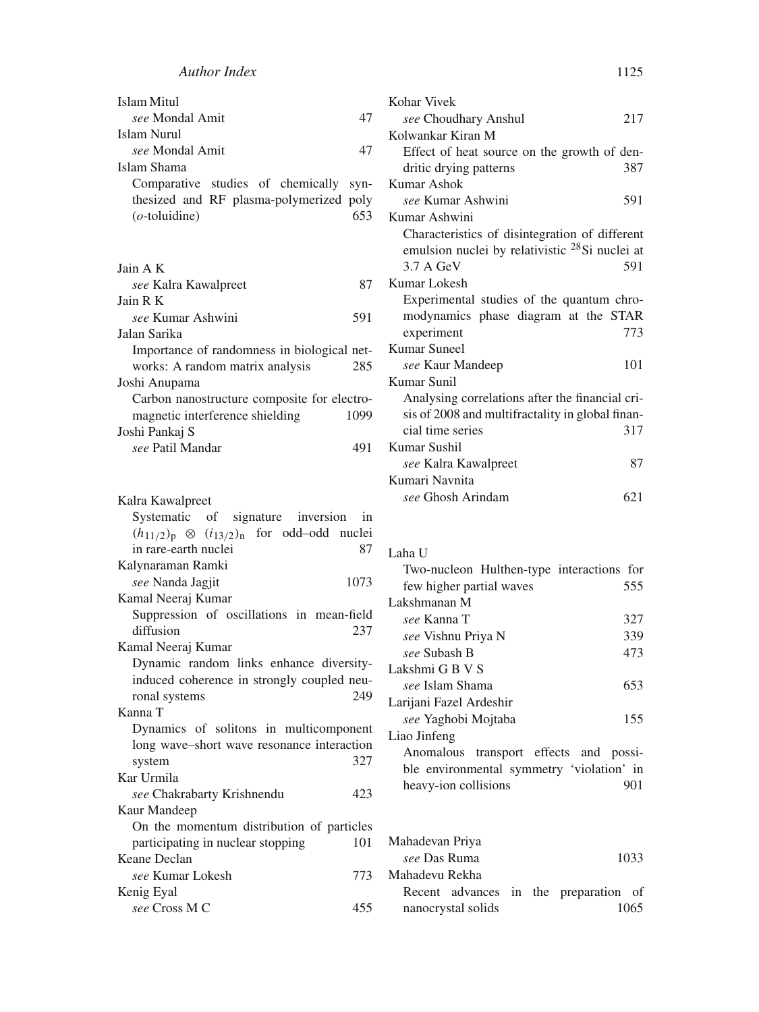| Islam Mitul                                 | Kohar Vivek                                                                              |
|---------------------------------------------|------------------------------------------------------------------------------------------|
| see Mondal Amit<br>47                       | see Choudhary Anshul                                                                     |
| Islam Nurul                                 | Kolwankar Kiran M                                                                        |
| see Mondal Amit<br>47                       | Effect of heat source on the growth                                                      |
| Islam Shama                                 | dritic drying patterns                                                                   |
| Comparative studies of chemically<br>syn-   | Kumar Ashok                                                                              |
| thesized and RF plasma-polymerized poly     | see Kumar Ashwini                                                                        |
| $(o$ -toluidine)<br>653                     | Kumar Ashwini                                                                            |
|                                             | Characteristics of disintegration of<br>emulsion nuclei by relativistic <sup>28</sup> Si |
| Jain A K                                    | 3.7 A GeV                                                                                |
| 87<br>see Kalra Kawalpreet                  | Kumar Lokesh                                                                             |
| Jain R K                                    | Experimental studies of the quantu                                                       |
| see Kumar Ashwini<br>591                    | modynamics phase diagram at the                                                          |
| Jalan Sarika                                | experiment                                                                               |
| Importance of randomness in biological net- | Kumar Suneel                                                                             |
| works: A random matrix analysis<br>285      | see Kaur Mandeep                                                                         |
| Joshi Anupama                               | Kumar Sunil                                                                              |
| Carbon nanostructure composite for electro- | Analysing correlations after the fina                                                    |
| magnetic interference shielding<br>1099     | sis of 2008 and multifractality in glob                                                  |
| Joshi Pankaj S                              | cial time series                                                                         |
| see Patil Mandar<br>491                     | Kumar Sushil                                                                             |
|                                             | see Kalra Kawalpreet                                                                     |

| Kalra Kawalpreet                                       |
|--------------------------------------------------------|
| Systematic of signature inversion in                   |
| $(h_{11/2})_p \otimes (i_{13/2})_n$ for odd-odd nuclei |
| in rare-earth nuclei<br>87                             |
| Kalynaraman Ramki                                      |
| 1073<br>see Nanda Jagjit                               |
| Kamal Neeraj Kumar                                     |
| Suppression of oscillations in mean-field              |
| diffusion<br>237                                       |
| Kamal Neeraj Kumar                                     |
| Dynamic random links enhance diversity-                |
| induced coherence in strongly coupled neu-             |
| 249<br>ronal systems                                   |
| Kanna T                                                |
| Dynamics of solitons in multicomponent                 |
| long wave-short wave resonance interaction             |
| 327<br>system                                          |
| Kar Urmila                                             |
| see Chakrabarty Krishnendu<br>423                      |
| Kaur Mandeep                                           |
| On the momentum distribution of particles              |
| 101<br>participating in nuclear stopping               |
| Keane Declan                                           |
| see Kumar Lokesh<br>773                                |
| Kenig Eyal                                             |
| see Cross M C<br>455                                   |

| see Choudhary Anshul                                       | 217 |
|------------------------------------------------------------|-----|
| Kolwankar Kiran M                                          |     |
| Effect of heat source on the growth of den-                |     |
| dritic drying patterns                                     | 387 |
| Kumar Ashok                                                |     |
| see Kumar Ashwini                                          | 591 |
| Kumar Ashwini                                              |     |
| Characteristics of disintegration of different             |     |
| emulsion nuclei by relativistic <sup>28</sup> Si nuclei at |     |
| 3.7 A GeV                                                  | 591 |
| Kumar Lokesh                                               |     |
| Experimental studies of the quantum chro-                  |     |
| modynamics phase diagram at the STAR                       |     |
| experiment                                                 | 773 |
| Kumar Suneel                                               |     |
| see Kaur Mandeep                                           | 101 |
| Kumar Sunil                                                |     |
| Analysing correlations after the financial cri-            |     |
| sis of 2008 and multifractality in global finan-           |     |
| cial time series                                           | 317 |
| Kumar Sushil                                               |     |
| see Kalra Kawalpreet                                       | 87  |
| Kumari Navnita                                             |     |
| see Ghosh Arindam                                          | 621 |
|                                                            |     |
|                                                            |     |

## Laha U

| Two-nucleon Hulthen-type interactions for |     |
|-------------------------------------------|-----|
| few higher partial waves                  | 555 |
| Lakshmanan M                              |     |
| see Kanna T                               | 327 |
| see Vishnu Priya N                        | 339 |
| see Subash B                              | 473 |
| Lakshmi G B V S                           |     |
| see Islam Shama                           | 653 |
| Larijani Fazel Ardeshir                   |     |
| see Yaghobi Mojtaba                       | 155 |
| Liao Jinfeng                              |     |
| Anomalous transport effects and possi-    |     |
| ble environmental symmetry 'violation' in |     |
| heavy-ion collisions                      | 901 |

Mahadevan Priya *see* Das Ruma 1033 Mahadevu Rekha Recent advances in the preparation of nanocrystal solids 1065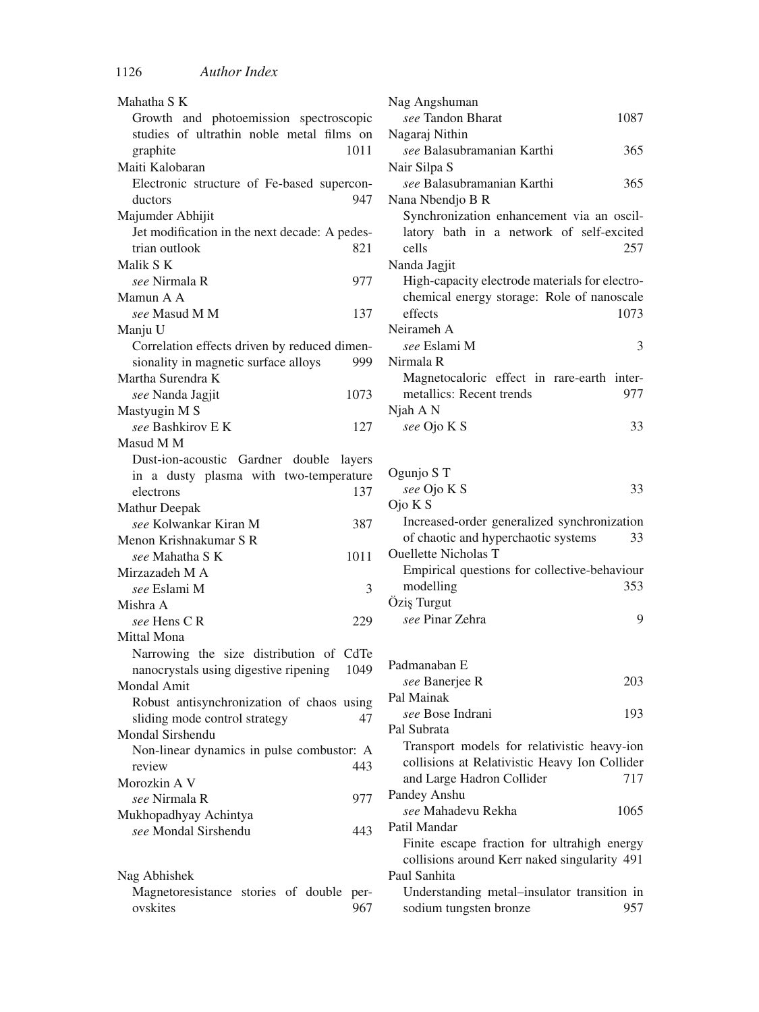| Mahatha S K                                   |
|-----------------------------------------------|
| Growth and photoemission spectroscopic        |
| studies of ultrathin noble metal films on     |
| 1011<br>graphite                              |
| Maiti Kalobaran                               |
| Electronic structure of Fe-based supercon-    |
| 947<br>ductors                                |
|                                               |
| Majumder Abhijit                              |
| Jet modification in the next decade: A pedes- |
| trian outlook<br>821                          |
| Malik S K                                     |
| see Nirmala R<br>977                          |
| Mamun A A                                     |
| see Masud M M<br>137                          |
| Manju U                                       |
| Correlation effects driven by reduced dimen-  |
| sionality in magnetic surface alloys<br>999   |
| Martha Surendra K                             |
| see Nanda Jagjit<br>1073                      |
| Mastyugin M S                                 |
| see Bashkirov E K<br>127                      |
| Masud M M                                     |
|                                               |
| Dust-ion-acoustic Gardner double<br>layers    |
| in a dusty plasma with two-temperature        |
| 137<br>electrons                              |
| Mathur Deepak                                 |
| see Kolwankar Kiran M<br>387                  |
| Menon Krishnakumar S R                        |
| see Mahatha S K<br>1011                       |
| Mirzazadeh M A                                |
| see Eslami M<br>3                             |
| Mishra A                                      |
| see Hens CR<br>229                            |
| Mittal Mona                                   |
| Narrowing the size distribution of CdTe       |
| nanocrystals using digestive ripening<br>1049 |
| Mondal Amit                                   |
| Robust antisynchronization of chaos using     |
| sliding mode control strategy<br>47           |
| Mondal Sirshendu                              |
| Non-linear dynamics in pulse combustor: A     |
| 443                                           |
| review                                        |
| Morozkin A V                                  |
| see Nirmala R<br>977                          |
| Mukhopadhyay Achintya                         |
| see Mondal Sirshendu<br>443                   |
|                                               |
| 1111111                                       |

| Nag Abhishek                             |  |     |
|------------------------------------------|--|-----|
| Magnetoresistance stories of double per- |  |     |
| ovskites                                 |  | 967 |

| 1087                                           |
|------------------------------------------------|
|                                                |
| 365                                            |
|                                                |
| 365                                            |
|                                                |
| Synchronization enhancement via an oscil-      |
| latory bath in a network of self-excited       |
| 257                                            |
|                                                |
| High-capacity electrode materials for electro- |
| chemical energy storage: Role of nanoscale     |
| 1073                                           |
|                                                |
| 3                                              |
|                                                |
| Magnetocaloric effect in rare-earth inter-     |
| 977                                            |
|                                                |
| 33                                             |
|                                                |

| Ogunjo S T                                   |     |
|----------------------------------------------|-----|
| see Ojo K S                                  | 33  |
| Ojo K S                                      |     |
| Increased-order generalized synchronization  |     |
| of chaotic and hyperchaotic systems          | 33  |
| Quellette Nicholas T                         |     |
| Empirical questions for collective-behaviour |     |
| modelling                                    | 353 |
| Ozis Turgut                                  |     |
| see Pinar Zehra                              | 9   |
|                                              |     |
| Padmanaban E                                 |     |
| see Banerjee R                               | 203 |
| Pal Mainak                                   |     |
| see Bose Indrani                             | 193 |

Pal Subrata Transport models for relativistic heavy-ion collisions at Relativistic Heavy Ion Collider and Large Hadron Collider 717 Pandey Anshu *see* Mahadevu Rekha 1065 Patil Mandar Finite escape fraction for ultrahigh energy collisions around Kerr naked singularity 491 Paul Sanhita

Understanding metal–insulator transition in sodium tungsten bronze 957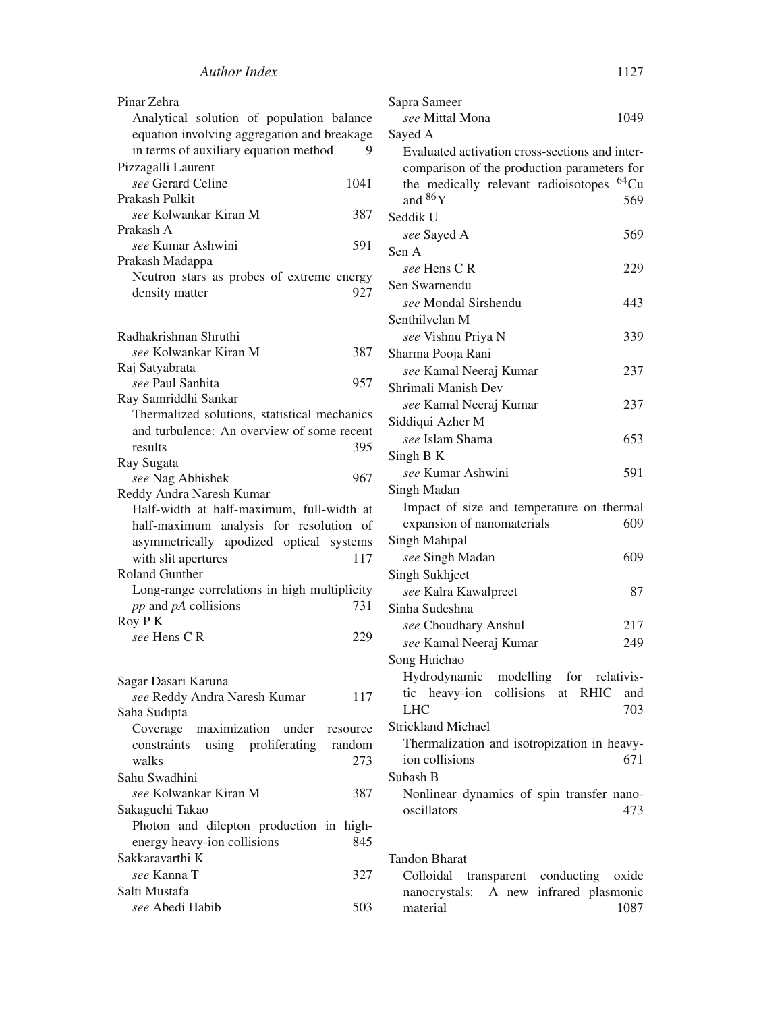| Pinar Zehra<br>Analytical solution of population balance<br>equation involving aggregation and breakage<br>in terms of auxiliary equation method | 9 |
|--------------------------------------------------------------------------------------------------------------------------------------------------|---|
| Pizzagalli Laurent                                                                                                                               |   |
| see Gerard Celine<br>1041                                                                                                                        |   |
| Prakash Pulkit                                                                                                                                   |   |
| see Kolwankar Kiran M<br>387                                                                                                                     |   |
| Prakash A                                                                                                                                        |   |
| see Kumar Ashwini<br>591                                                                                                                         |   |
| Prakash Madappa                                                                                                                                  |   |
| Neutron stars as probes of extreme energy                                                                                                        |   |
| 927<br>density matter                                                                                                                            |   |
|                                                                                                                                                  |   |
| Radhakrishnan Shruthi                                                                                                                            |   |
| see Kolwankar Kiran M<br>387                                                                                                                     |   |
| Raj Satyabrata                                                                                                                                   |   |
| <i>see</i> Paul Sanhita<br>957                                                                                                                   |   |
| Ray Samriddhi Sankar                                                                                                                             |   |
| Thermalized solutions, statistical mechanics<br>and turbulence: An overview of some recent                                                       |   |
| 395<br>results                                                                                                                                   |   |
| Ray Sugata                                                                                                                                       |   |
| see Nag Abhishek<br>967                                                                                                                          |   |
| Reddy Andra Naresh Kumar                                                                                                                         |   |
| Half-width at half-maximum, full-width at                                                                                                        |   |
|                                                                                                                                                  |   |
| half-maximum analysis for resolution of                                                                                                          |   |
| asymmetrically apodized optical systems                                                                                                          |   |
| with slit apertures<br>117                                                                                                                       |   |
| <b>Roland Gunther</b>                                                                                                                            |   |
| Long-range correlations in high multiplicity                                                                                                     |   |
| pp and pA collisions<br>731                                                                                                                      |   |
| Roy P K                                                                                                                                          |   |
| see Hens CR<br>229                                                                                                                               |   |
|                                                                                                                                                  |   |
| Sagar Dasari Karuna                                                                                                                              |   |
| see Reddy Andra Naresh Kumar<br>117                                                                                                              |   |
| Saha Sudipta                                                                                                                                     |   |
| maximization under resource<br>Coverage                                                                                                          |   |
| constraints using proliferating random                                                                                                           |   |
| walks<br>273                                                                                                                                     |   |
| Sahu Swadhini                                                                                                                                    |   |
| see Kolwankar Kiran M<br>387                                                                                                                     |   |
| Sakaguchi Takao                                                                                                                                  |   |
| Photon and dilepton production in<br>high-<br>845                                                                                                |   |
| energy heavy-ion collisions<br>Sakkaravarthi K                                                                                                   |   |
| see Kanna T<br>327                                                                                                                               |   |
| Salti Mustafa                                                                                                                                    |   |

| Sapra Sameer                                                                                                                                       |                   |
|----------------------------------------------------------------------------------------------------------------------------------------------------|-------------------|
| see Mittal Mona                                                                                                                                    | 1049              |
| Sayed A                                                                                                                                            |                   |
| Evaluated activation cross-sections and inter-<br>comparison of the production parameters for<br>the medically relevant radioisotopes<br>and $86Y$ | $^{64}$ Cu<br>569 |
| Seddik U                                                                                                                                           |                   |
| see Sayed A                                                                                                                                        | 569               |
| Sen A                                                                                                                                              |                   |
| see Hens C R                                                                                                                                       | 229               |
| Sen Swarnendu                                                                                                                                      |                   |
| see Mondal Sirshendu                                                                                                                               | 443               |
| Senthilvelan M                                                                                                                                     |                   |
| see Vishnu Priya N                                                                                                                                 | 339               |
| Sharma Pooja Rani                                                                                                                                  |                   |
| see Kamal Neeraj Kumar                                                                                                                             | 237               |
| Shrimali Manish Dev                                                                                                                                |                   |
| see Kamal Neeraj Kumar                                                                                                                             | 237               |
| Siddiqui Azher M                                                                                                                                   |                   |
| see Islam Shama                                                                                                                                    | 653               |
| Singh B K                                                                                                                                          |                   |
| see Kumar Ashwini                                                                                                                                  | 591               |
| Singh Madan                                                                                                                                        |                   |
| Impact of size and temperature on thermal                                                                                                          |                   |
| expansion of nanomaterials                                                                                                                         | 609               |
| Singh Mahipal                                                                                                                                      |                   |
| see Singh Madan                                                                                                                                    | 609               |
| Singh Sukhjeet                                                                                                                                     |                   |
| see Kalra Kawalpreet                                                                                                                               | 87                |
| Sinha Sudeshna                                                                                                                                     |                   |
| see Choudhary Anshul                                                                                                                               | 217               |
| see Kamal Neeraj Kumar                                                                                                                             | 249               |
| Song Huichao                                                                                                                                       |                   |
| Hydrodynamic modelling for relativis-                                                                                                              |                   |
| tic heavy-ion collisions at RHIC                                                                                                                   | and               |
| <b>LHC</b>                                                                                                                                         | 703               |
| <b>Strickland Michael</b>                                                                                                                          |                   |
| Thermalization and isotropization in heavy-                                                                                                        |                   |
| ion collisions                                                                                                                                     | 671               |
| Subash B                                                                                                                                           |                   |
| Nonlinear dynamics of spin transfer nano-                                                                                                          |                   |
| oscillators                                                                                                                                        | 473               |
|                                                                                                                                                    |                   |

Tandon Bharat Colloidal transparent conducting oxide nanocrystals: A new infrared plasmonic material 1087